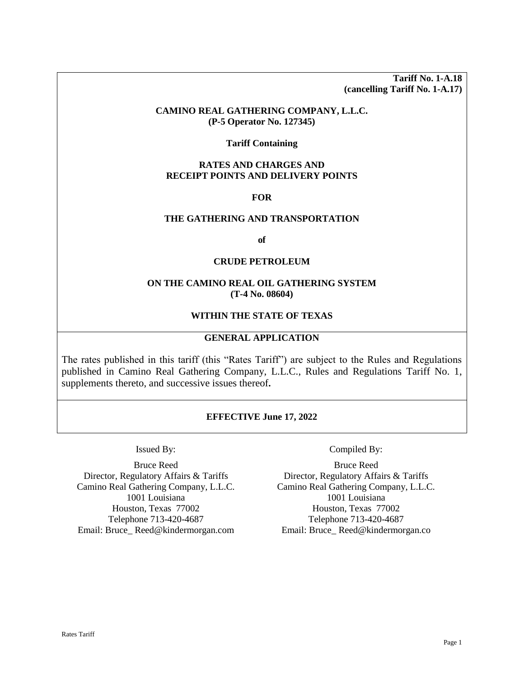**Tariff No. 1-A.18 (cancelling Tariff No. 1-A.17)**

#### **CAMINO REAL GATHERING COMPANY, L.L.C. (P-5 Operator No. 127345)**

#### **Tariff Containing**

# **RATES AND CHARGES AND RECEIPT POINTS AND DELIVERY POINTS**

#### **FOR**

## **THE GATHERING AND TRANSPORTATION**

**of**

#### **CRUDE PETROLEUM**

## **ON THE CAMINO REAL OIL GATHERING SYSTEM (T-4 No. 08604)**

# **WITHIN THE STATE OF TEXAS**

## **GENERAL APPLICATION**

The rates published in this tariff (this "Rates Tariff") are subject to the Rules and Regulations published in Camino Real Gathering Company, L.L.C., Rules and Regulations Tariff No. 1, supplements thereto, and successive issues thereof**.**

## **EFFECTIVE June 17, 2022**

Bruce Reed Director, Regulatory Affairs & Tariffs Camino Real Gathering Company, L.L.C. 1001 Louisiana Houston, Texas 77002 Telephone 713-420-4687 Email: Bruce\_ Reed@kindermorgan.com

Issued By: Compiled By:

Bruce Reed Director, Regulatory Affairs & Tariffs Camino Real Gathering Company, L.L.C. 1001 Louisiana Houston, Texas 77002 Telephone 713-420-4687 Email: Bruce\_ Reed@kindermorgan.co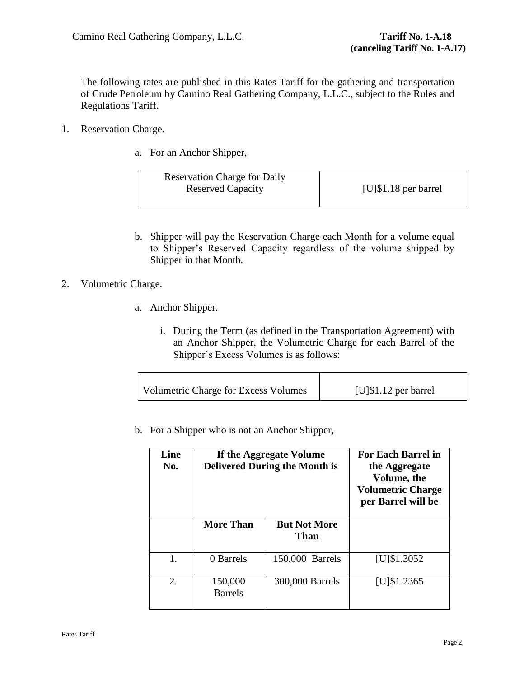The following rates are published in this Rates Tariff for the gathering and transportation of Crude Petroleum by Camino Real Gathering Company, L.L.C., subject to the Rules and Regulations Tariff.

- <span id="page-1-0"></span>1. Reservation Charge.
	- a. For an Anchor Shipper,

| <b>Reservation Charge for Daily</b> |                          |
|-------------------------------------|--------------------------|
| <b>Reserved Capacity</b>            | [ $U$ ]\$1.18 per barrel |
|                                     |                          |

b. Shipper will pay the Reservation Charge each Month for a volume equal to Shipper's Reserved Capacity regardless of the volume shipped by Shipper in that Month.

# 2. Volumetric Charge.

- a. Anchor Shipper.
	- i. During the Term (as defined in the Transportation Agreement) with an Anchor Shipper, the Volumetric Charge for each Barrel of the Shipper's Excess Volumes is as follows:

| Volumetric Charge for Excess Volumes | $[U]\$ \$1.12 per barrel |
|--------------------------------------|--------------------------|
|--------------------------------------|--------------------------|

<span id="page-1-1"></span>b. For a Shipper who is not an Anchor Shipper,

| Line<br>No. | If the Aggregate Volume<br><b>Delivered During the Month is</b> |                             | <b>For Each Barrel in</b><br>the Aggregate<br>Volume, the<br><b>Volumetric Charge</b><br>per Barrel will be |
|-------------|-----------------------------------------------------------------|-----------------------------|-------------------------------------------------------------------------------------------------------------|
|             | <b>More Than</b>                                                | <b>But Not More</b><br>Than |                                                                                                             |
| 1.          | 0 Barrels                                                       | 150,000 Barrels             | $[U]$ \$1.3052                                                                                              |
| 2.          | 150,000<br><b>Barrels</b>                                       | 300,000 Barrels             | $[U]$ \$1.2365                                                                                              |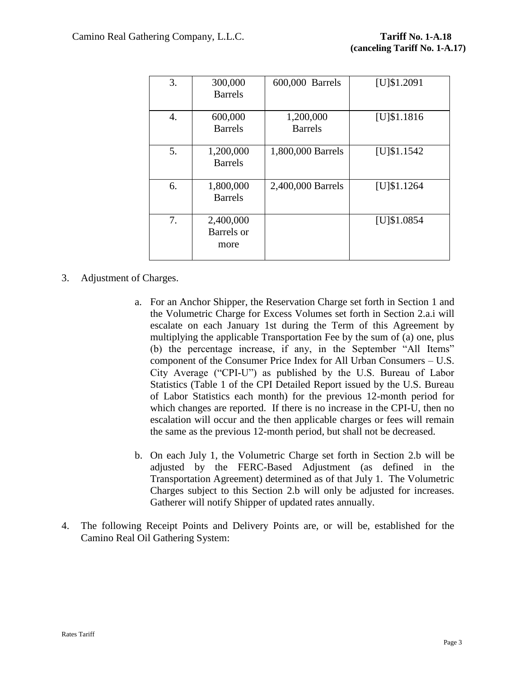| 3. | 300,000<br><b>Barrels</b>       | 600,000 Barrels             | $[U]$ \$1.2091 |
|----|---------------------------------|-----------------------------|----------------|
| 4. | 600,000<br><b>Barrels</b>       | 1,200,000<br><b>Barrels</b> | $[U]$ \$1.1816 |
| 5. | 1,200,000<br><b>Barrels</b>     | 1,800,000 Barrels           | $[U]$ \$1.1542 |
| 6. | 1,800,000<br><b>Barrels</b>     | 2,400,000 Barrels           | $[U]$ \$1.1264 |
| 7. | 2,400,000<br>Barrels or<br>more |                             | $[U]$ \$1.0854 |

# 3. Adjustment of Charges.

- a. For an Anchor Shipper, the Reservation Charge set forth in Section [1](#page-1-0) and the Volumetric Charge for Excess Volumes set forth in Section 2.a.i will escalate on each January 1st during the Term of this Agreement by multiplying the applicable Transportation Fee by the sum of (a) one, plus (b) the percentage increase, if any, in the September "All Items" component of the Consumer Price Index for All Urban Consumers – U.S. City Average ("CPI-U") as published by the U.S. Bureau of Labor Statistics (Table 1 of the CPI Detailed Report issued by the U.S. Bureau of Labor Statistics each month) for the previous 12-month period for which changes are reported. If there is no increase in the CPI-U, then no escalation will occur and the then applicable charges or fees will remain the same as the previous 12-month period, but shall not be decreased.
- b. On each July 1, the Volumetric Charge set forth in Section [2.b](#page-1-1) will be adjusted by the FERC-Based Adjustment (as defined in the Transportation Agreement) determined as of that July 1. The Volumetric Charges subject to this Section [2.b](#page-1-1) will only be adjusted for increases. Gatherer will notify Shipper of updated rates annually.
- 4. The following Receipt Points and Delivery Points are, or will be, established for the Camino Real Oil Gathering System: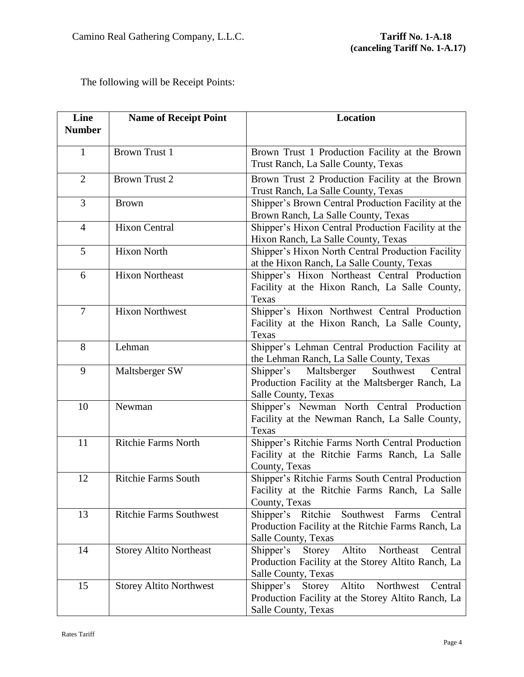The following will be Receipt Points:

| Line           | <b>Name of Receipt Point</b>   | <b>Location</b>                                                                             |
|----------------|--------------------------------|---------------------------------------------------------------------------------------------|
| <b>Number</b>  |                                |                                                                                             |
| 1              | <b>Brown Trust 1</b>           | Brown Trust 1 Production Facility at the Brown                                              |
|                |                                | Trust Ranch, La Salle County, Texas                                                         |
| $\overline{2}$ | <b>Brown Trust 2</b>           | Brown Trust 2 Production Facility at the Brown                                              |
|                |                                | Trust Ranch, La Salle County, Texas                                                         |
| 3              | <b>Brown</b>                   | Shipper's Brown Central Production Facility at the<br>Brown Ranch, La Salle County, Texas   |
| $\overline{4}$ | <b>Hixon Central</b>           | Shipper's Hixon Central Production Facility at the                                          |
|                |                                | Hixon Ranch, La Salle County, Texas                                                         |
| 5              | <b>Hixon North</b>             | Shipper's Hixon North Central Production Facility                                           |
|                |                                | at the Hixon Ranch, La Salle County, Texas                                                  |
| 6              | <b>Hixon Northeast</b>         | Shipper's Hixon Northeast Central Production                                                |
|                |                                | Facility at the Hixon Ranch, La Salle County,                                               |
|                |                                | Texas                                                                                       |
| $\overline{7}$ | <b>Hixon Northwest</b>         | Shipper's Hixon Northwest Central Production                                                |
|                |                                | Facility at the Hixon Ranch, La Salle County,                                               |
|                |                                | Texas                                                                                       |
| 8              | Lehman                         | Shipper's Lehman Central Production Facility at<br>the Lehman Ranch, La Salle County, Texas |
| 9              | Maltsberger SW                 | Shipper's Maltsberger<br>Southwest<br>Central                                               |
|                |                                | Production Facility at the Maltsberger Ranch, La                                            |
|                |                                | Salle County, Texas                                                                         |
| 10             | Newman                         | Shipper's Newman North Central Production                                                   |
|                |                                | Facility at the Newman Ranch, La Salle County,                                              |
|                |                                | Texas                                                                                       |
| 11             | <b>Ritchie Farms North</b>     | Shipper's Ritchie Farms North Central Production                                            |
|                |                                | Facility at the Ritchie Farms Ranch, La Salle                                               |
|                |                                | County, Texas                                                                               |
| 12             | <b>Ritchie Farms South</b>     | Shipper's Ritchie Farms South Central Production                                            |
|                |                                | Facility at the Ritchie Farms Ranch, La Salle                                               |
|                |                                | County, Texas                                                                               |
| 13             | <b>Ritchie Farms Southwest</b> | Shipper's Ritchie<br>Southwest Farms<br>Central                                             |
|                |                                | Production Facility at the Ritchie Farms Ranch, La<br>Salle County, Texas                   |
| 14             | <b>Storey Altito Northeast</b> | Altito<br>Northeast<br>Shipper's<br>Storey<br>Central                                       |
|                |                                | Production Facility at the Storey Altito Ranch, La                                          |
|                |                                | Salle County, Texas                                                                         |
| 15             | <b>Storey Altito Northwest</b> | Altito<br>Northwest<br>Shipper's<br>Storey<br>Central                                       |
|                |                                | Production Facility at the Storey Altito Ranch, La                                          |
|                |                                | Salle County, Texas                                                                         |